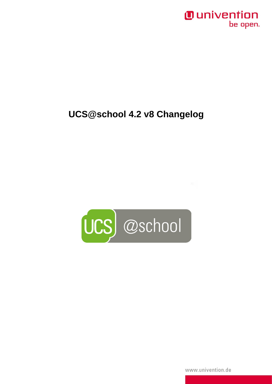## *Ounivention* be open.

## UCS@school 4.2 v8 Changelog



www.univention.de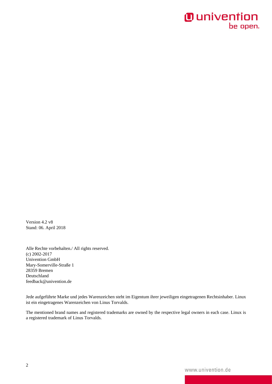## **O** univention be open.

Version 4.2 v8 Stand: 06. April 2018

Alle Rechte vorbehalten./ All rights reserved. (c) 2002-2017 Univention GmbH Mary-Somerville-Straße 1 28359 Bremen Deutschland feedback@univention.de

Jede aufgeführte Marke und jedes Warenzeichen steht im Eigentum ihrer jeweiligen eingetragenen Rechtsinhaber. Linux ist ein eingetragenes Warenzeichen von Linus Torvalds.

The mentioned brand names and registered trademarks are owned by the respective legal owners in each case. Linux is a registered trademark of Linus Torvalds.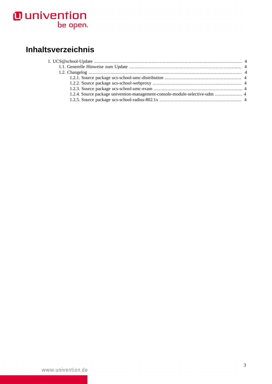# **O** univention<br>be open.

## **Inhaltsverzeichnis**